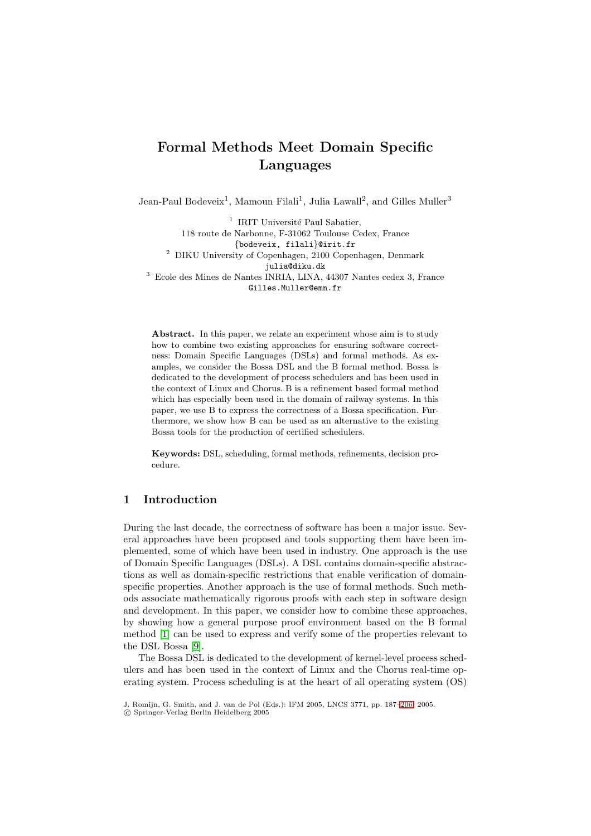# **Formal Methods Meet Domain Specific Languages**

Jean-Paul Bodeveix<sup>1</sup>, Mamoun Filali<sup>1</sup>, Julia Lawall<sup>2</sup>, and Gilles Muller<sup>3</sup>

 $1$  IRIT Université Paul Sabatier, 118 route de Narbonne, F-31062 Toulouse Cedex, France {bodeveix, filali}@irit.fr  $^{\rm 2}$  DIKU University of Copenhagen, 2100 Copenhagen, Denmark julia@diku.dk <sup>3</sup> Ecole des Mines de Nantes INRIA, LINA, 44307 Nantes cedex 3, France Gilles.Muller@emn.fr

Abstract. In this paper, we relate an experiment whose aim is to study how to combine two existing approaches for ensuring software correctness: Domain Specific Languages (DSLs) and formal methods. As examples, we consider the Bossa DSL and the B formal method. Bossa is dedicated to the development of process schedulers and has been used in the context of Linux and Chorus. B is a refinement based formal method which has especially been used in the domain of railway systems. In this paper, we use B to express the correctness of a Bossa specification. Furthermore, we show how B can be used as an alternative to the existing Bossa tools for the production of certified schedulers.

**Keywords:** DSL, scheduling, formal methods, refinements, decision procedure.

## **1 Introduction**

During the last decade, the correctness of software has been a major issue. Several approaches have been proposed and tools supporting them have been implemented, some of which have been used in industry. One approach is the use of Domain Specific Languages (DSLs). A DSL contains domain-specific abstractions as well as domain-specific restrictions that enable verification of domainspecific properties. Another approach is the use of formal methods. Such methods associate mathematically rigorous proofs with each step in software design and development. In this paper, we consider how to combine these approaches, by showing how a general purpose proof environment based on the B formal method [\[1\]](#page-17-0) can be used to express and verify some of the properties relevant to the DSL Bossa [\[9\]](#page-18-0).

The Bossa DSL is dedicated to the development of kernel-level process schedulers and has been used in the context of Linux and the Chorus real-time operating system. Process scheduling is at the heart of all operating system (OS)

J. Romijn, G. Smith, and J. van de Pol (Eds.): IFM 2005, LNCS 3771, pp. 187[–206,](#page-18-1) 2005.

c Springer-Verlag Berlin Heidelberg 2005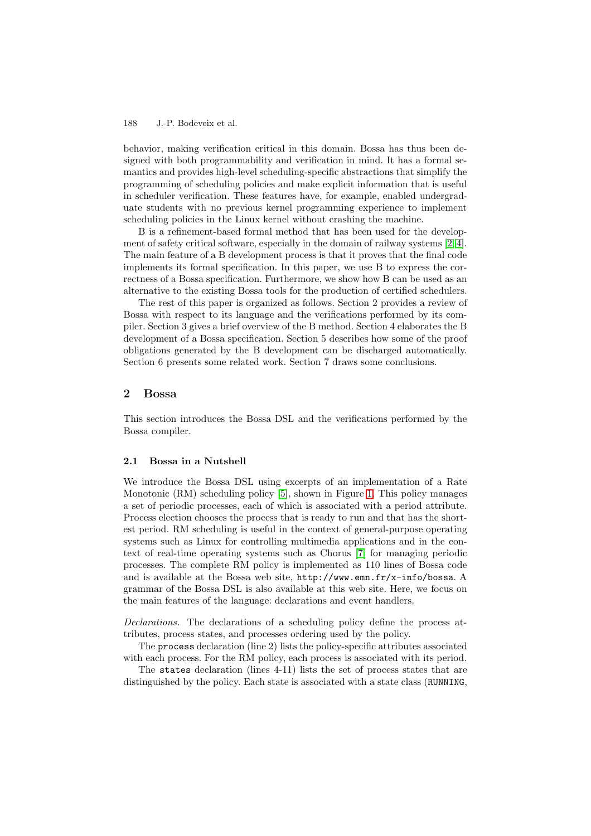behavior, making verification critical in this domain. Bossa has thus been designed with both programmability and verification in mind. It has a formal semantics and provides high-level scheduling-specific abstractions that simplify the programming of scheduling policies and make explicit information that is useful in scheduler verification. These features have, for example, enabled undergraduate students with no previous kernel programming experience to implement scheduling policies in the Linux kernel without crashing the machine.

B is a refinement-based formal method that has been used for the development of safety critical software, especially in the domain of railway systems [\[2,](#page-17-1) [4\]](#page-18-2). The main feature of a B development process is that it proves that the final code implements its formal specification. In this paper, we use B to express the correctness of a Bossa specification. Furthermore, we show how B can be used as an alternative to the existing Bossa tools for the production of certified schedulers.

The rest of this paper is organized as follows. Section 2 provides a review of Bossa with respect to its language and the verifications performed by its compiler. Section 3 gives a brief overview of the B method. Section 4 elaborates the B development of a Bossa specification. Section 5 describes how some of the proof obligations generated by the B development can be discharged automatically. Section 6 presents some related work. Section 7 draws some conclusions.

#### **2 Bossa**

This section introduces the Bossa DSL and the verifications performed by the Bossa compiler.

#### <span id="page-1-0"></span>**2.1 Bossa in a Nutshell**

We introduce the Bossa DSL using excerpts of an implementation of a Rate Monotonic (RM) scheduling policy [\[5\]](#page-18-3), shown in Figure [1.](#page-2-0) This policy manages a set of periodic processes, each of which is associated with a period attribute. Process election chooses the process that is ready to run and that has the shortest period. RM scheduling is useful in the context of general-purpose operating systems such as Linux for controlling multimedia applications and in the context of real-time operating systems such as Chorus [\[7\]](#page-18-4) for managing periodic processes. The complete RM policy is implemented as 110 lines of Bossa code and is available at the Bossa web site, http://www.emn.fr/x-info/bossa. A grammar of the Bossa DSL is also available at this web site. Here, we focus on the main features of the language: declarations and event handlers.

Declarations. The declarations of a scheduling policy define the process attributes, process states, and processes ordering used by the policy.

The process declaration (line 2) lists the policy-specific attributes associated with each process. For the RM policy, each process is associated with its period.

The states declaration (lines 4-11) lists the set of process states that are distinguished by the policy. Each state is associated with a state class (RUNNING,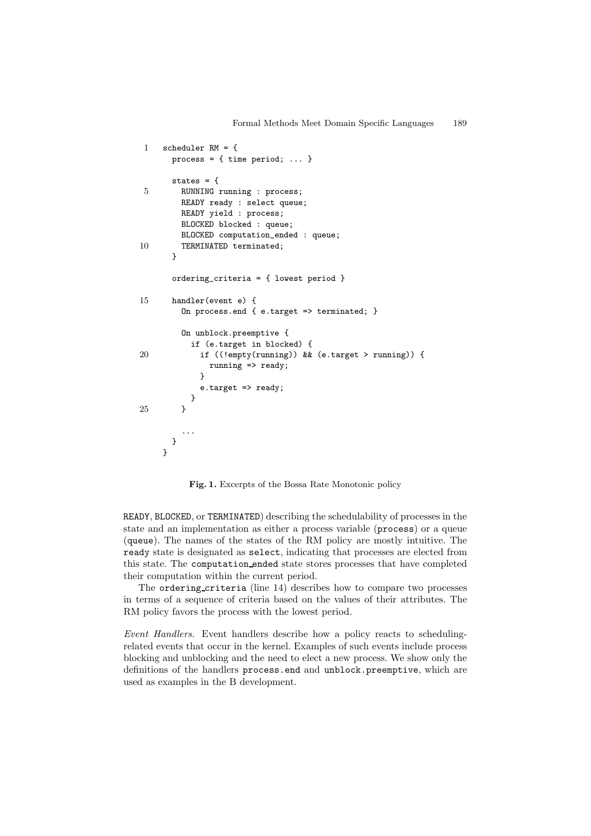```
1 scheduler RM = {
      process = { time period; \dots }
      states = {
5 RUNNING running : process;
        READY ready : select queue;
        READY yield : process;
        BLOCKED blocked : queue;
        BLOCKED computation_ended : queue;
10 TERMINATED terminated;
      }
      ordering_criteria = { lowest period }
15 handler(event e) {
        On process.end { e.target => terminated; }
        On unblock.preemptive {
          if (e.target in blocked) {
20 if ((!empty(running)) && (e.target > running)) {
              running \Rightarrow ready;
            }
            e.target => ready;
          }
25 }
         ...
      }
    }
```
**Fig. 1.** Excerpts of the Bossa Rate Monotonic policy

<span id="page-2-0"></span>READY, BLOCKED, or TERMINATED) describing the schedulability of processes in the state and an implementation as either a process variable (process) or a queue (queue). The names of the states of the RM policy are mostly intuitive. The ready state is designated as select, indicating that processes are elected from this state. The computation ended state stores processes that have completed their computation within the current period.

The ordering criteria (line 14) describes how to compare two processes in terms of a sequence of criteria based on the values of their attributes. The RM policy favors the process with the lowest period.

Event Handlers. Event handlers describe how a policy reacts to schedulingrelated events that occur in the kernel. Examples of such events include process blocking and unblocking and the need to elect a new process. We show only the definitions of the handlers process.end and unblock.preemptive, which are used as examples in the B development.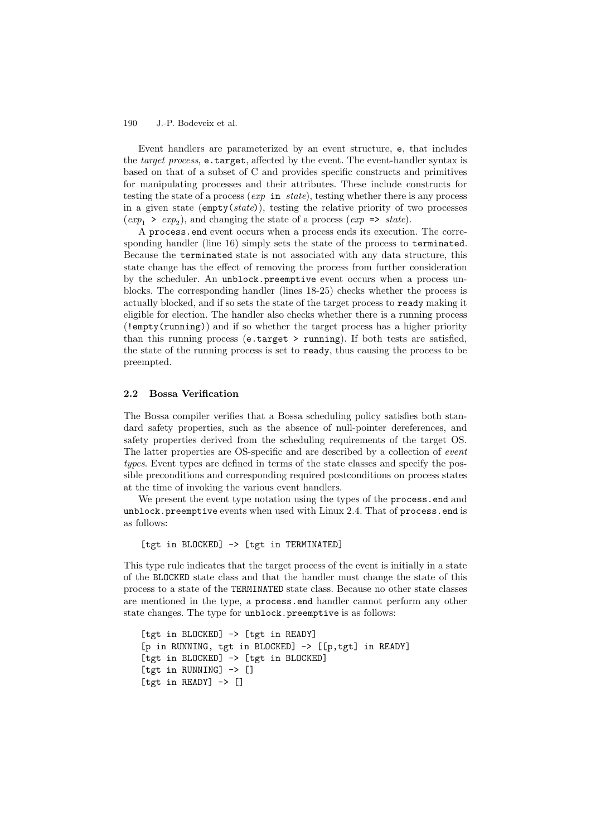Event handlers are parameterized by an event structure, e, that includes the target process, e.target, affected by the event. The event-handler syntax is based on that of a subset of C and provides specific constructs and primitives for manipulating processes and their attributes. These include constructs for testing the state of a process ( $exp$  in  $state$ ), testing whether there is any process in a given state (empty( $state$ ), testing the relative priority of two processes  $(exp_1 > exp_2)$ , and changing the state of a process  $(exp \Rightarrow state)$ .

A process.end event occurs when a process ends its execution. The corresponding handler (line 16) simply sets the state of the process to terminated. Because the terminated state is not associated with any data structure, this state change has the effect of removing the process from further consideration by the scheduler. An unblock.preemptive event occurs when a process unblocks. The corresponding handler (lines 18-25) checks whether the process is actually blocked, and if so sets the state of the target process to ready making it eligible for election. The handler also checks whether there is a running process (!empty(running)) and if so whether the target process has a higher priority than this running process (e.target > running). If both tests are satisfied, the state of the running process is set to ready, thus causing the process to be preempted.

#### **2.2 Bossa Verification**

The Bossa compiler verifies that a Bossa scheduling policy satisfies both standard safety properties, such as the absence of null-pointer dereferences, and safety properties derived from the scheduling requirements of the target OS. The latter properties are OS-specific and are described by a collection of event types. Event types are defined in terms of the state classes and specify the possible preconditions and corresponding required postconditions on process states at the time of invoking the various event handlers.

We present the event type notation using the types of the process.end and unblock.preemptive events when used with Linux 2.4. That of process.end is as follows:

[tgt in BLOCKED] -> [tgt in TERMINATED]

This type rule indicates that the target process of the event is initially in a state of the BLOCKED state class and that the handler must change the state of this process to a state of the TERMINATED state class. Because no other state classes are mentioned in the type, a process.end handler cannot perform any other state changes. The type for unblock.preemptive is as follows:

```
[tgt in BLOCKED] -> [tgt in READY]
[p in RUNNING, tgt in BLOCKED] -> [[p,tgt] in READY]
[tgt in BLOCKED] -> [tgt in BLOCKED]
[tgt in RUNNING] -> []
[tgt in READY] -> []
```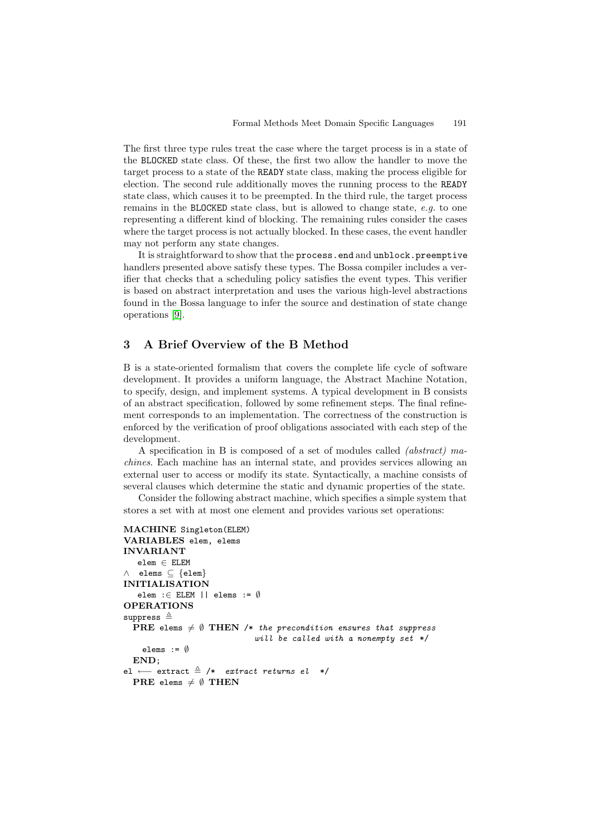The first three type rules treat the case where the target process is in a state of the BLOCKED state class. Of these, the first two allow the handler to move the target process to a state of the READY state class, making the process eligible for election. The second rule additionally moves the running process to the READY state class, which causes it to be preempted. In the third rule, the target process remains in the BLOCKED state class, but is allowed to change state, e.g. to one representing a different kind of blocking. The remaining rules consider the cases where the target process is not actually blocked. In these cases, the event handler may not perform any state changes.

It is straightforward to show that the process.end and unblock.preemptive handlers presented above satisfy these types. The Bossa compiler includes a verifier that checks that a scheduling policy satisfies the event types. This verifier is based on abstract interpretation and uses the various high-level abstractions found in the Bossa language to infer the source and destination of state change operations [\[9\]](#page-18-0).

## <span id="page-4-0"></span>**3 A Brief Overview of the B Method**

B is a state-oriented formalism that covers the complete life cycle of software development. It provides a uniform language, the Abstract Machine Notation, to specify, design, and implement systems. A typical development in B consists of an abstract specification, followed by some refinement steps. The final refinement corresponds to an implementation. The correctness of the construction is enforced by the verification of proof obligations associated with each step of the development.

A specification in B is composed of a set of modules called (abstract) machines. Each machine has an internal state, and provides services allowing an external user to access or modify its state. Syntactically, a machine consists of several clauses which determine the static and dynamic properties of the state.

Consider the following abstract machine, which specifies a simple system that stores a set with at most one element and provides various set operations:

```
MACHINE Singleton(ELEM)
VARIABLES elem, elems
INVARIANT
   elem ∈ ELEM
  ∧ elems ⊆ {elem}
INITIALISATION
   elem :∈ ELEM || elems := ∅
OPERATIONS
suppress \triangleqPRE elems \neq \emptyset THEN /* the precondition ensures that suppress
                            will be called with a nonempty set */
    elems := Ø
  END;
el ←− extract  /* extract returns el */
  PRE elems \neq \emptyset THEN
```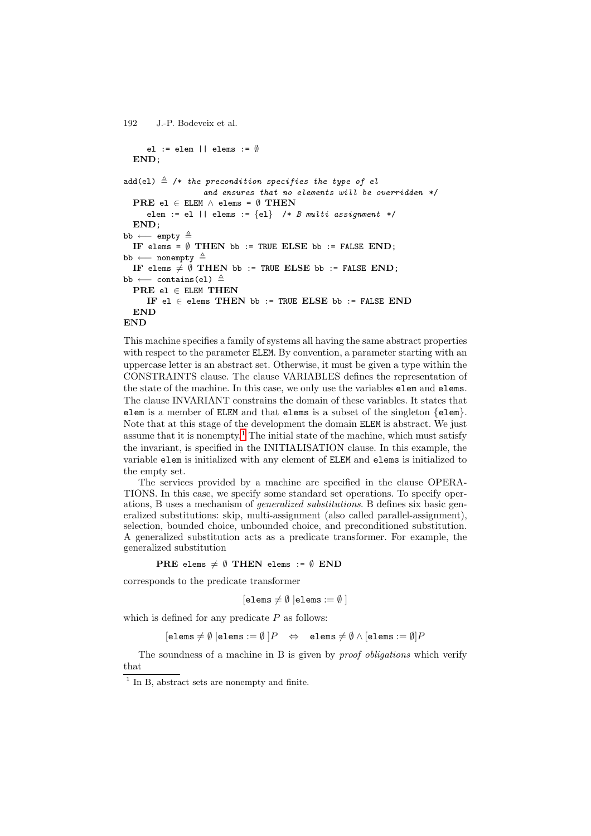```
el := elem || elems := \emptysetEND;
add(el) \triangleq /* the precondition specifies the type of el
                  and ensures that no elements will be overridden */
  PRE el \in ELEM \wedge elems = \emptyset THEN
     elem := el || elems := {el} /* B multi assignment */
  END;
bb ← empty \triangleqIF elems = \emptyset THEN bb := TRUE ELSE bb := FALSE END;
bb ← nonempty \triangleqIF elems \neq \emptyset THEN bb := TRUE ELSE bb := FALSE END;
bb ← contains(el) \triangleqPRE el ∈ ELEM THEN
     IF el \in elems THEN bb := TRUE ELSE bb := FALSE END
  END
```
**END**

This machine specifies a family of systems all having the same abstract properties with respect to the parameter **ELEM**. By convention, a parameter starting with an uppercase letter is an abstract set. Otherwise, it must be given a type within the CONSTRAINTS clause. The clause VARIABLES defines the representation of the state of the machine. In this case, we only use the variables elem and elems. The clause INVARIANT constrains the domain of these variables. It states that elem is a member of ELEM and that elems is a subset of the singleton  $\{elem\}$ . Note that at this stage of the development the domain ELEM is abstract. We just assume that it is nonempty.<sup>[1](#page-5-0)</sup> The initial state of the machine, which must satisfy the invariant, is specified in the INITIALISATION clause. In this example, the variable elem is initialized with any element of ELEM and elems is initialized to the empty set.

The services provided by a machine are specified in the clause OPERA-TIONS. In this case, we specify some standard set operations. To specify operations, B uses a mechanism of generalized substitutions. B defines six basic generalized substitutions: skip, multi-assignment (also called parallel-assignment), selection, bounded choice, unbounded choice, and preconditioned substitution. A generalized substitution acts as a predicate transformer. For example, the generalized substitution

#### **PRE** elems  $\neq$   $\emptyset$  **THEN** elems :=  $\emptyset$  **END**

corresponds to the predicate transformer

$$
\mathtt{[elems} \neq \emptyset \mathtt{[elems := \emptyset]}
$$

which is defined for any predicate  $P$  as follows:

 $[elements \neq \emptyset]$ elems :=  $\emptyset$  | $P \Leftrightarrow$  elems  $\neq \emptyset \wedge$  [elems :=  $\emptyset$ ] $P$ 

The soundness of a machine in B is given by *proof obligations* which verify that

<span id="page-5-0"></span> $<sup>1</sup>$  In B, abstract sets are nonempty and finite.</sup>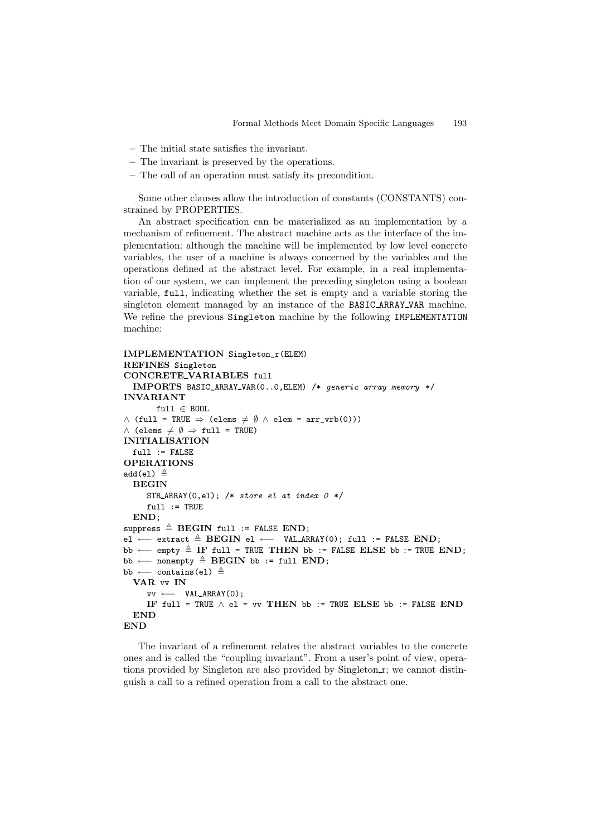- **–** The initial state satisfies the invariant.
- **–** The invariant is preserved by the operations.
- **–** The call of an operation must satisfy its precondition.

Some other clauses allow the introduction of constants (CONSTANTS) constrained by PROPERTIES.

An abstract specification can be materialized as an implementation by a mechanism of refinement. The abstract machine acts as the interface of the implementation: although the machine will be implemented by low level concrete variables, the user of a machine is always concerned by the variables and the operations defined at the abstract level. For example, in a real implementation of our system, we can implement the preceding singleton using a boolean variable, full, indicating whether the set is empty and a variable storing the singleton element managed by an instance of the BASIC ARRAY VAR machine. We refine the previous Singleton machine by the following IMPLEMENTATION machine:

```
IMPLEMENTATION Singleton_r(ELEM)
REFINES Singleton
CONCRETE VARIABLES full
  IMPORTS BASIC_ARRAY VAR(0..0,ELEM) /* generic array memory */
INVARIANT
       full \in B00L\wedge (full = TRUE \Rightarrow (elems \neq \emptyset \wedge elem = arr_vrb(0)))
\wedge (elems \neq \emptyset \Rightarrow \text{full} = \text{TRUE})
INITIALISATION
  full := FALSEOPERATIONS
add(el) \triangleqBEGIN
     STR\_ARRAY(0, e1); /* store el at index 0 */
     full := TRUEEND;
suppress \triangleq BEGIN full := FALSE END;el ←− extract  BEGIN el ←− VAL ARRAY(0); full := FALSE END;
bb ←− empty  IF full = TRUE THEN bb := FALSE ELSE bb := TRUE END;
bb ←− nonempty  BEGIN bb := full END;
bb ←− contains(el) 
  VAR vv IN
     vv \leftarrow VAL_ARRAY(0);
     IF full = TRUE \land el = vv THEN bb := TRUE ELSE bb := FALSE END
  END
END
```
The invariant of a refinement relates the abstract variables to the concrete ones and is called the "coupling invariant". From a user's point of view, operations provided by Singleton are also provided by Singleton r; we cannot distinguish a call to a refined operation from a call to the abstract one.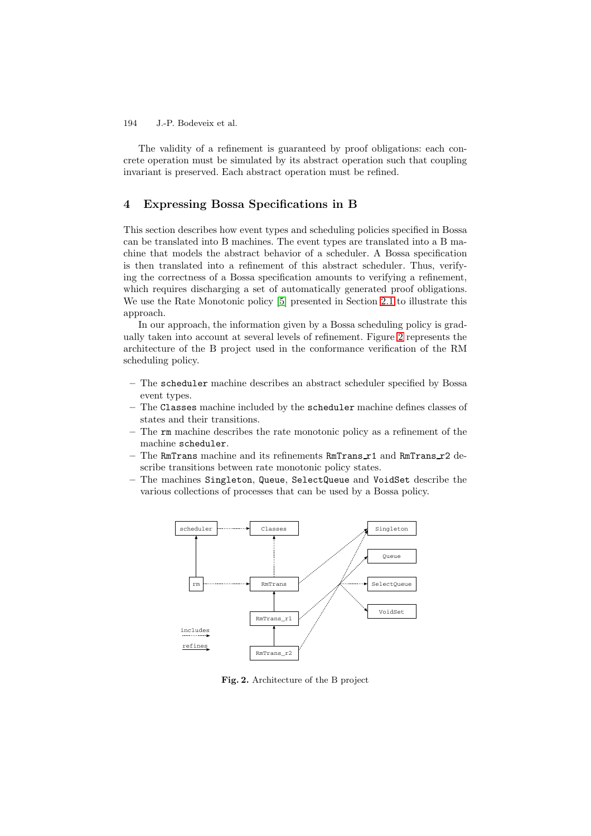The validity of a refinement is guaranteed by proof obligations: each concrete operation must be simulated by its abstract operation such that coupling invariant is preserved. Each abstract operation must be refined.

## **4 Expressing Bossa Specifications in B**

This section describes how event types and scheduling policies specified in Bossa can be translated into B machines. The event types are translated into a B machine that models the abstract behavior of a scheduler. A Bossa specification is then translated into a refinement of this abstract scheduler. Thus, verifying the correctness of a Bossa specification amounts to verifying a refinement, which requires discharging a set of automatically generated proof obligations. We use the Rate Monotonic policy [\[5\]](#page-18-3) presented in Section [2.1](#page-1-0) to illustrate this approach.

In our approach, the information given by a Bossa scheduling policy is gradually taken into account at several levels of refinement. Figure [2](#page-7-0) represents the architecture of the B project used in the conformance verification of the RM scheduling policy.

- **–** The scheduler machine describes an abstract scheduler specified by Bossa event types.
- **–** The Classes machine included by the scheduler machine defines classes of states and their transitions.
- **–** The rm machine describes the rate monotonic policy as a refinement of the machine scheduler.
- **–** The RmTrans machine and its refinements RmTrans r1 and RmTrans r2 describe transitions between rate monotonic policy states.
- **–** The machines Singleton, Queue, SelectQueue and VoidSet describe the various collections of processes that can be used by a Bossa policy.



<span id="page-7-0"></span>**Fig. 2.** Architecture of the B project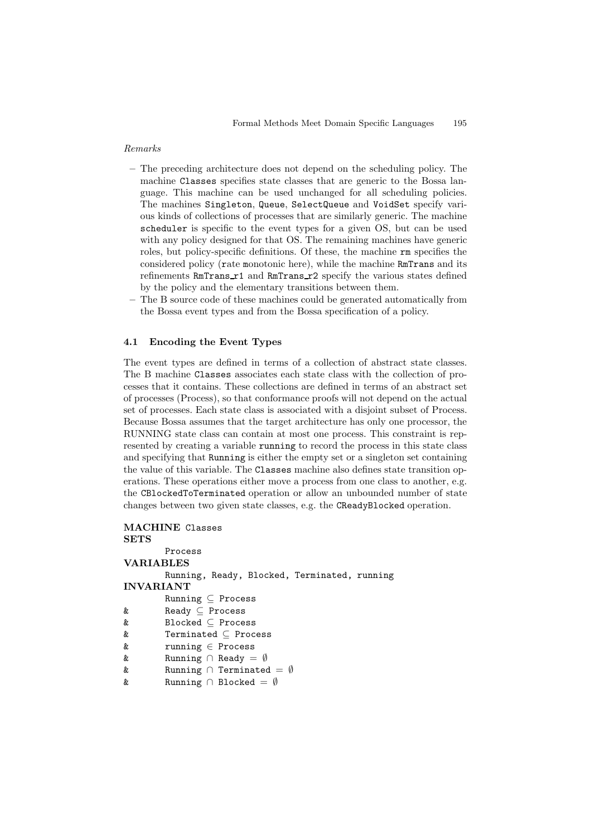#### Remarks

- **–** The preceding architecture does not depend on the scheduling policy. The machine Classes specifies state classes that are generic to the Bossa language. This machine can be used unchanged for all scheduling policies. The machines Singleton, Queue, SelectQueue and VoidSet specify various kinds of collections of processes that are similarly generic. The machine scheduler is specific to the event types for a given OS, but can be used with any policy designed for that OS. The remaining machines have generic roles, but policy-specific definitions. Of these, the machine rm specifies the considered policy (rate monotonic here), while the machine RmTrans and its refinements RmTrans r1 and RmTrans r2 specify the various states defined by the policy and the elementary transitions between them.
- **–** The B source code of these machines could be generated automatically from the Bossa event types and from the Bossa specification of a policy.

#### **4.1 Encoding the Event Types**

The event types are defined in terms of a collection of abstract state classes. The B machine Classes associates each state class with the collection of processes that it contains. These collections are defined in terms of an abstract set of processes (Process), so that conformance proofs will not depend on the actual set of processes. Each state class is associated with a disjoint subset of Process. Because Bossa assumes that the target architecture has only one processor, the RUNNING state class can contain at most one process. This constraint is represented by creating a variable running to record the process in this state class and specifying that Running is either the empty set or a singleton set containing the value of this variable. The Classes machine also defines state transition operations. These operations either move a process from one class to another, e.g. the CBlockedToTerminated operation or allow an unbounded number of state changes between two given state classes, e.g. the CReadyBlocked operation.

```
MACHINE Classes
SETS
       Process
VARIABLES
       Running, Ready, Blocked, Terminated, running
INVARIANT
       Running ⊆ Process
& Ready ⊆ Process
& Blocked ⊆ Process
& Terminated ⊆ Process
& running ∈ Process
& Running ∩ Ready = ∅
& Running ∩ Terminated = \emptyset& Running ∩ Blocked = \emptyset
```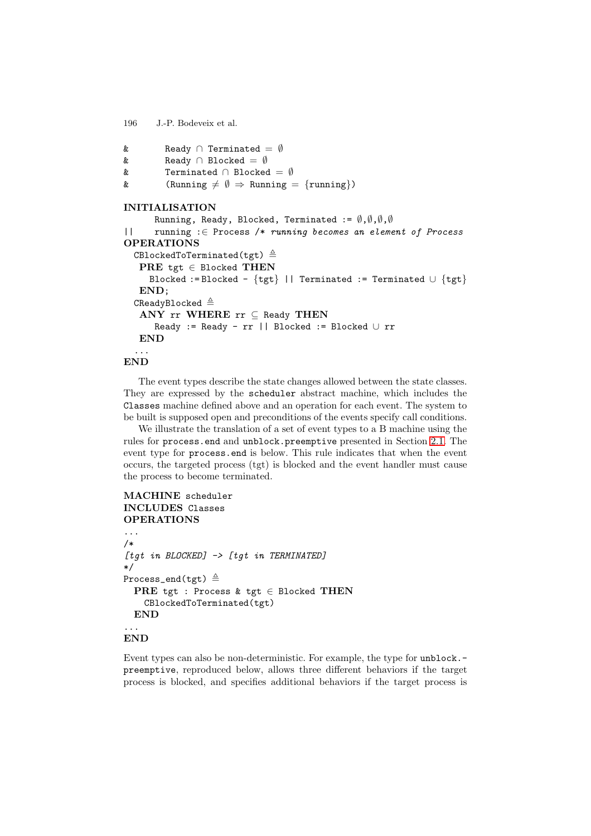```
& Ready ∩ Terminated = \emptyset& Ready ∩ Blocked = \emptyset& Terminated ∩ Blocked = \emptyset& (Running \neq \emptyset \Rightarrow Running = {running})
INITIALISATION
      Running, Ready, Blocked, Terminated := \emptyset, \emptyset, \emptyset, \emptyset|| running :∈ Process /* running becomes an element of Process
OPERATIONS
  CBlockedToTerminated(tgt) \triangleqPRE tgt ∈ Blocked THEN
     Blocked := Blocked - {tgt} || Terminated := Terminated ∪ {tgt}
   END;
  CReadyBlocked \triangleqANY rr WHERE rr ⊆ Ready THEN
      Ready := Ready - rr || Blocked := Blocked ∪ rr
   END
  ...
```
#### **END**

The event types describe the state changes allowed between the state classes. They are expressed by the scheduler abstract machine, which includes the Classes machine defined above and an operation for each event. The system to be built is supposed open and preconditions of the events specify call conditions.

We illustrate the translation of a set of event types to a B machine using the rules for process.end and unblock.preemptive presented in Section [2.1.](#page-1-0) The event type for process.end is below. This rule indicates that when the event occurs, the targeted process (tgt) is blocked and the event handler must cause the process to become terminated.

```
MACHINE scheduler
INCLUDES Classes
OPERATIONS
...
/*
[tgt in BLOCKED] -> [tgt in TERMINATED]
*/
Process_end(tgt) \triangleqPRE tgt : Process & tgt ∈ Blocked THEN
    CBlockedToTerminated(tgt)
 END
...
END
```
Event types can also be non-deterministic. For example, the type for unblock. preemptive, reproduced below, allows three different behaviors if the target process is blocked, and specifies additional behaviors if the target process is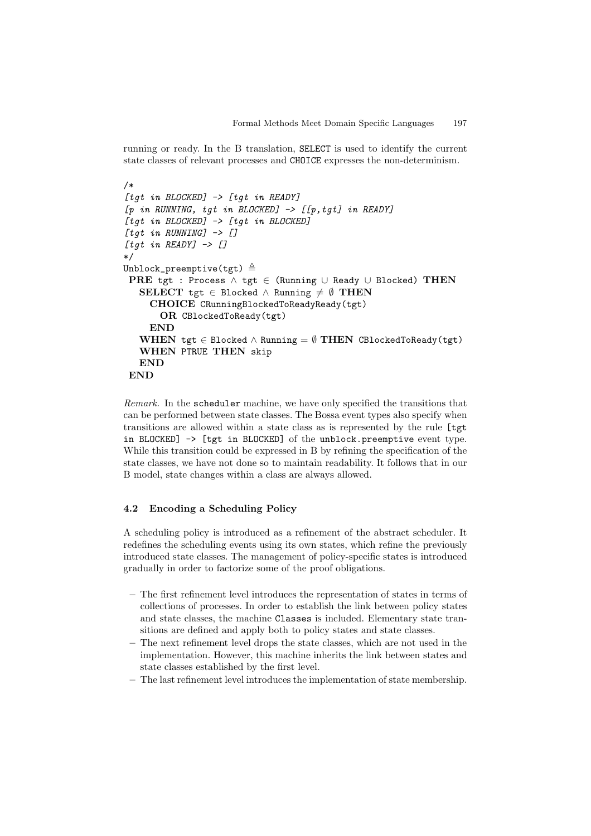running or ready. In the B translation, SELECT is used to identify the current state classes of relevant processes and CHOICE expresses the non-determinism.

```
/*
[tqt in <b>BLOCKED</b>] -> [tqt in <b>READV</b>][p in RUNNING, tgt in BLOCKED] \rightarrow [[p, tgt] in READY]
[tgt in BLOCKED] -> [tgt in BLOCKED]
[tgt in RUNNING] \rightarrow [][tgt in READV] -> []
*/
Unblock_preemptive(tgt) \triangleqPRE tgt : Process ∧ tgt ∈ (Running ∪ Ready ∪ Blocked) THEN
   SELECT tgt \in Blocked \wedge Running \neq \emptyset THEN
     CHOICE CRunningBlockedToReadyReady(tgt)
       OR CBlockedToReady(tgt)
     END
   WHEN tgt ∈ Blocked ∧ Running = ∅ THEN CBlockedToReady(tgt)
   WHEN PTRUE THEN skip
   END
 END
```
Remark. In the scheduler machine, we have only specified the transitions that can be performed between state classes. The Bossa event types also specify when transitions are allowed within a state class as is represented by the rule [tgt in BLOCKED] -> [tgt in BLOCKED] of the unblock.preemptive event type. While this transition could be expressed in B by refining the specification of the state classes, we have not done so to maintain readability. It follows that in our B model, state changes within a class are always allowed.

### <span id="page-10-0"></span>**4.2 Encoding a Scheduling Policy**

A scheduling policy is introduced as a refinement of the abstract scheduler. It redefines the scheduling events using its own states, which refine the previously introduced state classes. The management of policy-specific states is introduced gradually in order to factorize some of the proof obligations.

- **–** The first refinement level introduces the representation of states in terms of collections of processes. In order to establish the link between policy states and state classes, the machine Classes is included. Elementary state transitions are defined and apply both to policy states and state classes.
- **–** The next refinement level drops the state classes, which are not used in the implementation. However, this machine inherits the link between states and state classes established by the first level.
- **–** The last refinement level introduces the implementation of state membership.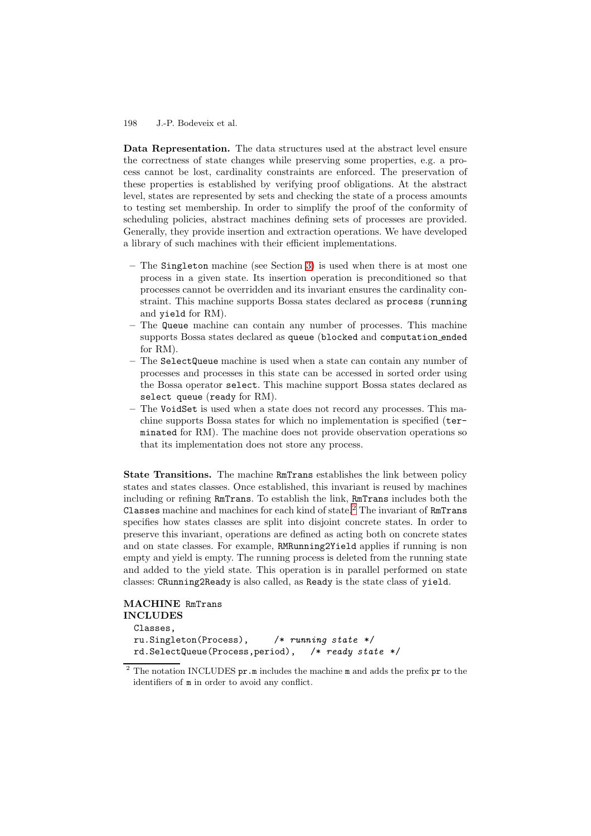**Data Representation.** The data structures used at the abstract level ensure the correctness of state changes while preserving some properties, e.g. a process cannot be lost, cardinality constraints are enforced. The preservation of these properties is established by verifying proof obligations. At the abstract level, states are represented by sets and checking the state of a process amounts to testing set membership. In order to simplify the proof of the conformity of scheduling policies, abstract machines defining sets of processes are provided. Generally, they provide insertion and extraction operations. We have developed a library of such machines with their efficient implementations.

- **–** The Singleton machine (see Section [3\)](#page-4-0) is used when there is at most one process in a given state. Its insertion operation is preconditioned so that processes cannot be overridden and its invariant ensures the cardinality constraint. This machine supports Bossa states declared as process (running and yield for RM).
- **–** The Queue machine can contain any number of processes. This machine supports Bossa states declared as queue (blocked and computation ended for RM).
- **–** The SelectQueue machine is used when a state can contain any number of processes and processes in this state can be accessed in sorted order using the Bossa operator select. This machine support Bossa states declared as select queue (ready for RM).
- **–** The VoidSet is used when a state does not record any processes. This machine supports Bossa states for which no implementation is specified (terminated for RM). The machine does not provide observation operations so that its implementation does not store any process.

**State Transitions.** The machine RmTrans establishes the link between policy states and states classes. Once established, this invariant is reused by machines including or refining RmTrans. To establish the link, RmTrans includes both the Classes machine and machines for each kind of state.[2](#page-11-0) The invariant of RmTrans specifies how states classes are split into disjoint concrete states. In order to preserve this invariant, operations are defined as acting both on concrete states and on state classes. For example, RMRunning2Yield applies if running is non empty and yield is empty. The running process is deleted from the running state and added to the yield state. This operation is in parallel performed on state classes: CRunning2Ready is also called, as Ready is the state class of yield.

```
MACHINE RmTrans
INCLUDES
 Classes,
```

```
ru.Singleton(Process), /* running state */
rd.SelectQueue(Process,period), /* ready state */
```
<span id="page-11-0"></span>The notation INCLUDES pr.m includes the machine m and adds the prefix pr to the identifiers of m in order to avoid any conflict.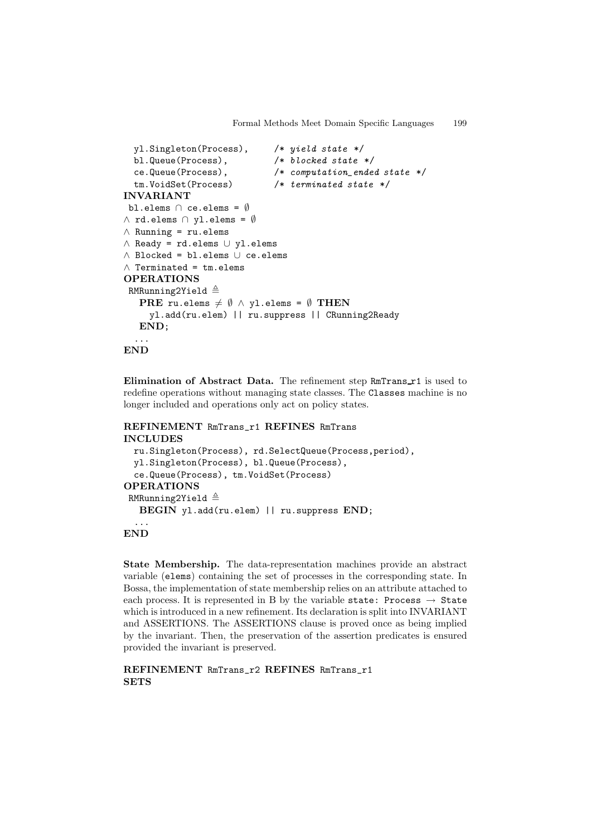```
yl.Singleton(Process), /* yield state */
  bl.Queue(Process), \sqrt{\ast} blocked state \ast/ce.Queue(Process), /* computation_ended state */
  tm.VoidSet(Process) /* terminated state */
INVARIANT
 bl.elems \cap ce.elems = \emptyset\land rd.elems \cap yl.elems = \emptyset∧ Running = ru.elems
∧ Ready = rd.elems ∪ yl.elems
∧ Blocked = bl.elems ∪ ce.elems
\land Terminated = tm.elems
OPERATIONS
 RMRunning2Yield \triangleqPRE ru.elems \neq \emptyset \wedge yl.elems = \emptyset THEN
     yl.add(ru.elem) || ru.suppress || CRunning2Ready
   END;
  ...
END
```
**Elimination of Abstract Data.** The refinement step RmTrans r1 is used to redefine operations without managing state classes. The Classes machine is no longer included and operations only act on policy states.

```
REFINEMENT RmTrans_r1 REFINES RmTrans
INCLUDES
 ru.Singleton(Process), rd.SelectQueue(Process,period),
  yl.Singleton(Process), bl.Queue(Process),
  ce.Queue(Process), tm.VoidSet(Process)
OPERATIONS
RMRunning2Yield \triangleqBEGIN yl.add(ru.elem) || ru.suppress END;
  ...
END
```
**State Membership.** The data-representation machines provide an abstract variable (elems) containing the set of processes in the corresponding state. In Bossa, the implementation of state membership relies on an attribute attached to each process. It is represented in B by the variable state: Process  $\rightarrow$  State which is introduced in a new refinement. Its declaration is split into INVARIANT and ASSERTIONS. The ASSERTIONS clause is proved once as being implied by the invariant. Then, the preservation of the assertion predicates is ensured provided the invariant is preserved.

**REFINEMENT** RmTrans\_r2 **REFINES** RmTrans\_r1 **SETS**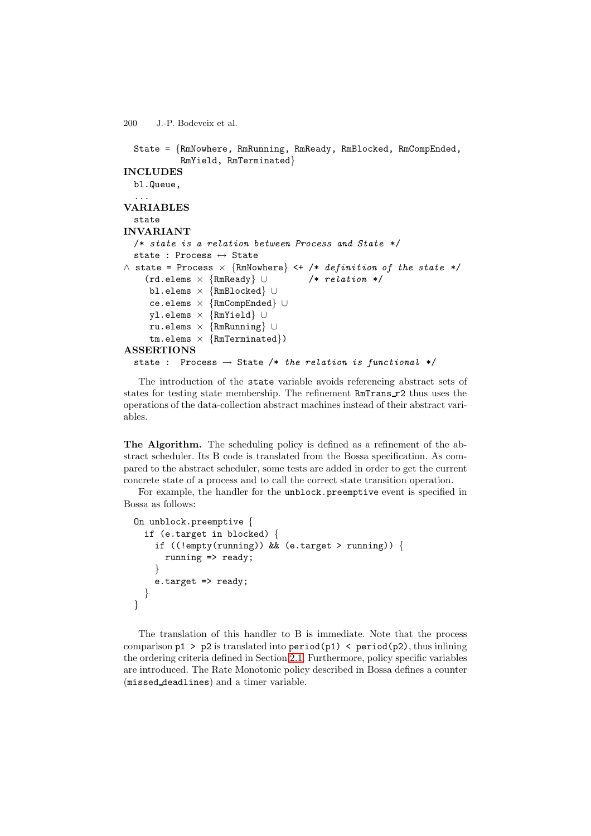```
State = {RmNowhere, RmRunning, RmReady, RmBlocked, RmCompEnded,
           RmYield, RmTerminated}
INCLUDES
  bl.Queue,
  ...
VARIABLES
  state
INVARIANT
  /* state is a relation between Process and State */
  state : Process ↔ State
\wedge state = Process \times {RmNowhere} \lt + /* definition of the state */
    (rd.elems × {RmReady} ∪ /* relation */
     bl.elems × {RmBlocked} ∪
     ce.elems × {RmCompEnded} ∪
     yl.elems × {RmYield} ∪
     ru.elems × {RmRunning} ∪
     tm.\,elements \times \{RmTerminated\})ASSERTIONS
  state : Process \rightarrow State /* the relation is functional */
```
The introduction of the state variable avoids referencing abstract sets of states for testing state membership. The refinement RmTrans r2 thus uses the operations of the data-collection abstract machines instead of their abstract variables.

**The Algorithm.** The scheduling policy is defined as a refinement of the abstract scheduler. Its B code is translated from the Bossa specification. As compared to the abstract scheduler, some tests are added in order to get the current concrete state of a process and to call the correct state transition operation.

For example, the handler for the unblock.preemptive event is specified in Bossa as follows:

```
On unblock.preemptive {
  if (e.target in blocked) {
    if ((!empty(runing)) && (e.target > running))running => ready;
    }
    e.target => ready;
 }
}
```
The translation of this handler to B is immediate. Note that the process comparison  $p1 > p2$  is translated into  $period(p1) < period(p2)$ , thus inlining the ordering criteria defined in Section [2.1.](#page-1-0) Furthermore, policy specific variables are introduced. The Rate Monotonic policy described in Bossa defines a counter (missed deadlines) and a timer variable.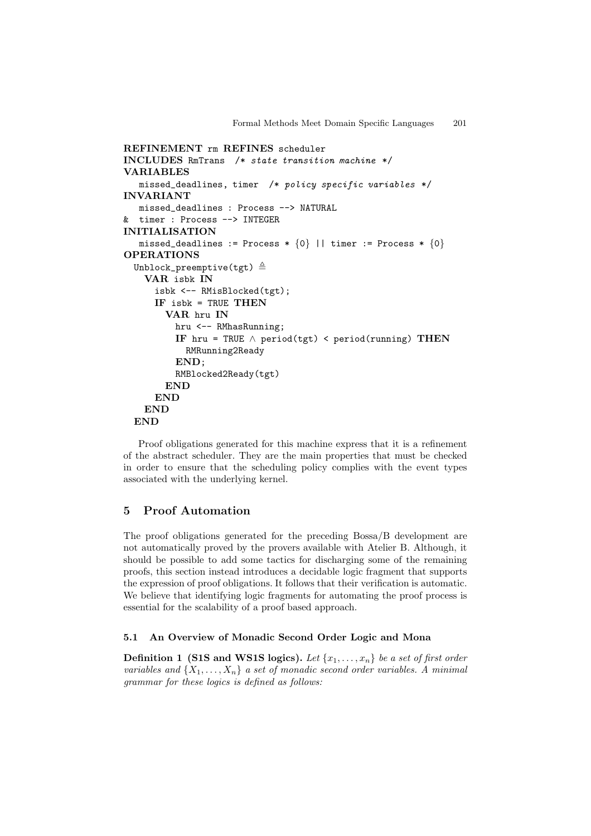```
REFINEMENT rm REFINES scheduler
INCLUDES RmTrans /* state transition machine */
VARIABLES
  missed_deadlines, timer /* policy specific variables */
INVARIANT
  missed_deadlines : Process --> NATURAL
& timer : Process --> INTEGER
INITIALISATION
  missed_deadlines := Process * \{0\} || timer := Process * \{0\}OPERATIONS
 Unblock preemptive(tgt) \triangleqVAR isbk IN
     isbk <-- RMisBlocked(tgt);
     IF isbk = TRUE THEN
       VAR hru IN
         hru <-- RMhasRunning;
         IF hru = TRUE ∧ period(tgt) < period(running) THEN
           RMRunning2Ready
         END;
         RMBlocked2Ready(tgt)
       END
     END
   END
  END
```
Proof obligations generated for this machine express that it is a refinement of the abstract scheduler. They are the main properties that must be checked in order to ensure that the scheduling policy complies with the event types associated with the underlying kernel.

## **5 Proof Automation**

The proof obligations generated for the preceding Bossa/B development are not automatically proved by the provers available with Atelier B. Although, it should be possible to add some tactics for discharging some of the remaining proofs, this section instead introduces a decidable logic fragment that supports the expression of proof obligations. It follows that their verification is automatic. We believe that identifying logic fragments for automating the proof process is essential for the scalability of a proof based approach.

#### **5.1 An Overview of Monadic Second Order Logic and Mona**

**Definition 1 (S1S and WS1S logics).** Let  $\{x_1, \ldots, x_n\}$  be a set of first order variables and  $\{X_1,\ldots,X_n\}$  a set of monadic second order variables. A minimal grammar for these logics is defined as follows: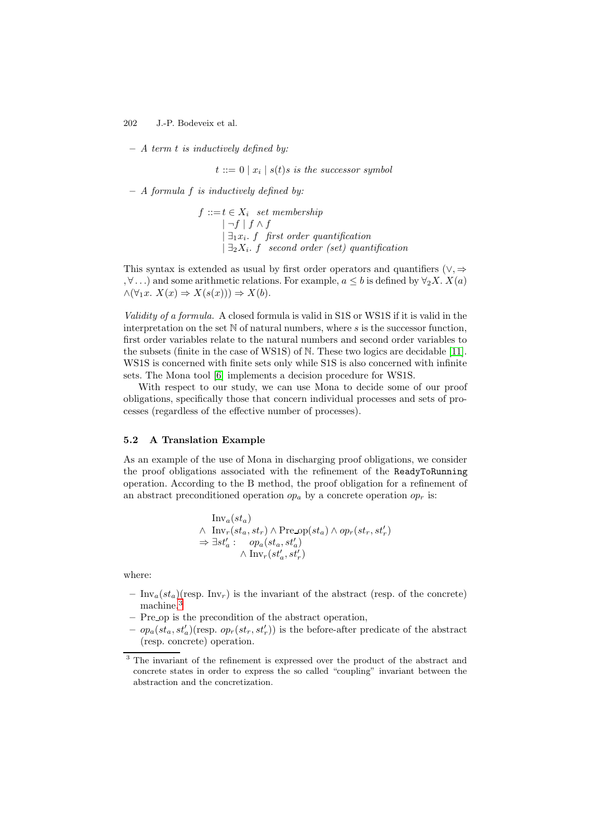**–** A term t is inductively defined by:

 $t ::= 0 | x_i | s(t) s$  is the successor symbol

**–** A formula f is inductively defined by:

 $f ::= t \in X_i$  set membership  $| \neg f | f \wedge f$  $\vert \exists_1 x_i.$  f first order quantification  $\exists$ <sub>2</sub>X<sub>i</sub>. f second order (set) quantification

This syntax is extended as usual by first order operators and quantifiers ( $\vee$ ,  $\Rightarrow$ ,  $\forall$ ...) and some arithmetic relations. For example,  $a \leq b$  is defined by  $\forall_2 X$ .  $X(a)$  $\land (\forall_1 x. X(x) \Rightarrow X(s(x))) \Rightarrow X(b).$ 

Validity of a formula. A closed formula is valid in S1S or WS1S if it is valid in the interpretation on the set  $N$  of natural numbers, where s is the successor function, first order variables relate to the natural numbers and second order variables to the subsets (finite in the case of WS1S) of N. These two logics are decidable [\[11\]](#page-18-5). WS1S is concerned with finite sets only while S1S is also concerned with infinite sets. The Mona tool [\[6\]](#page-18-6) implements a decision procedure for WS1S.

With respect to our study, we can use Mona to decide some of our proof obligations, specifically those that concern individual processes and sets of processes (regardless of the effective number of processes).

## **5.2 A Translation Example**

As an example of the use of Mona in discharging proof obligations, we consider the proof obligations associated with the refinement of the ReadyToRunning operation. According to the B method, the proof obligation for a refinement of an abstract preconditioned operation  $op_a$  by a concrete operation  $op_x$  is:

$$
\begin{aligned} &\text{Inv}_a(st_a) \\ &\wedge \text{ Inv}_r(st_a, st_r) \wedge \text{Pre\_op}(st_a) \wedge op_r(st_r, st'_r) \\ &\Rightarrow \exists st'_a: \quad op_a(st_a, st'_a) \\ &\wedge \text{ Inv}_r(st'_a, st'_r) \end{aligned}
$$

where:

- $-\operatorname{Inv}_a(st_a)(\text{resp. Inv}_r)$  is the invariant of the abstract (resp. of the concrete) machine,<sup>[3](#page-15-0)</sup>
- **–** Pre op is the precondition of the abstract operation,
- $\partial p_a(st_a, st'_a)$ (resp.  $\partial p_r(st_r, st'_r)$ ) is the before-after predicate of the abstract (resp. concrete) operation.

<span id="page-15-0"></span><sup>&</sup>lt;sup>3</sup> The invariant of the refinement is expressed over the product of the abstract and concrete states in order to express the so called "coupling" invariant between the abstraction and the concretization.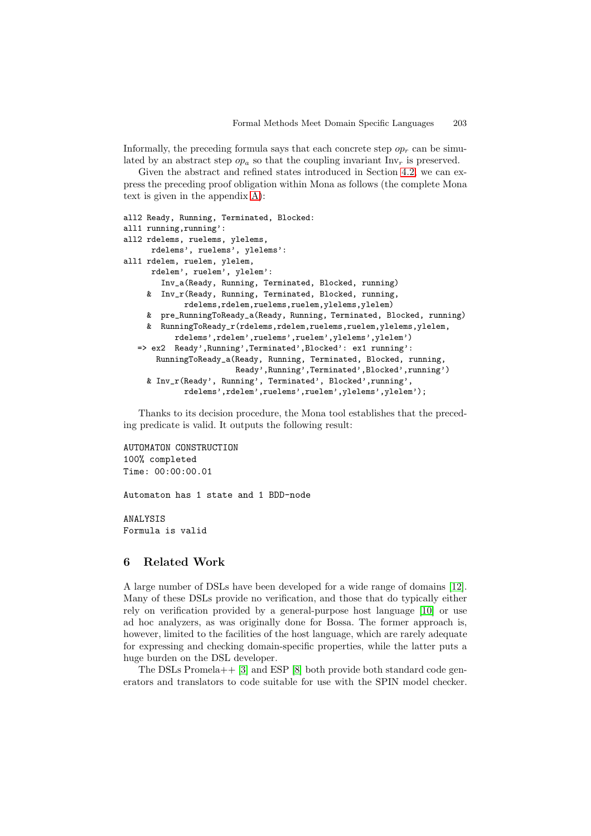Informally, the preceding formula says that each concrete step  $op<sub>r</sub>$  can be simulated by an abstract step  $op_a$  so that the coupling invariant  $Inv_r$  is preserved.

Given the abstract and refined states introduced in Section [4.2,](#page-10-0) we can express the preceding proof obligation within Mona as follows (the complete Mona text is given in the appendix [A\)](#page-18-1):

```
all2 Ready, Running, Terminated, Blocked:
all1 running,running':
all2 rdelems, ruelems, ylelems,
      rdelems', ruelems', ylelems':
all1 rdelem, ruelem, ylelem,
     rdelem', ruelem', ylelem':
        Inv_a(Ready, Running, Terminated, Blocked, running)
     & Inv_r(Ready, Running, Terminated, Blocked, running,
             rdelems,rdelem,ruelems,ruelem,ylelems,ylelem)
     & pre_RunningToReady_a(Ready, Running, Terminated, Blocked, running)
     & RunningToReady_r(rdelems,rdelem,ruelems,ruelem,ylelems,ylelem,
          rdelems',rdelem',ruelems',ruelem',ylelems',ylelem')
   => ex2 Ready',Running',Terminated',Blocked': ex1 running':
       RunningToReady_a(Ready, Running, Terminated, Blocked, running,
                        Ready',Running',Terminated',Blocked',running')
     & Inv_r(Ready', Running', Terminated', Blocked',running',
             rdelems',rdelem',ruelems',ruelem',ylelems',ylelem');
```
Thanks to its decision procedure, the Mona tool establishes that the preceding predicate is valid. It outputs the following result:

AUTOMATON CONSTRUCTION 100% completed Time: 00:00:00.01

Automaton has 1 state and 1 BDD-node

ANALYSIS Formula is valid

## **6 Related Work**

A large number of DSLs have been developed for a wide range of domains [\[12\]](#page-18-7). Many of these DSLs provide no verification, and those that do typically either rely on verification provided by a general-purpose host language [\[10\]](#page-18-8) or use ad hoc analyzers, as was originally done for Bossa. The former approach is, however, limited to the facilities of the host language, which are rarely adequate for expressing and checking domain-specific properties, while the latter puts a huge burden on the DSL developer.

The DSLs Promela++ [\[3\]](#page-17-2) and ESP [\[8\]](#page-18-9) both provide both standard code generators and translators to code suitable for use with the SPIN model checker.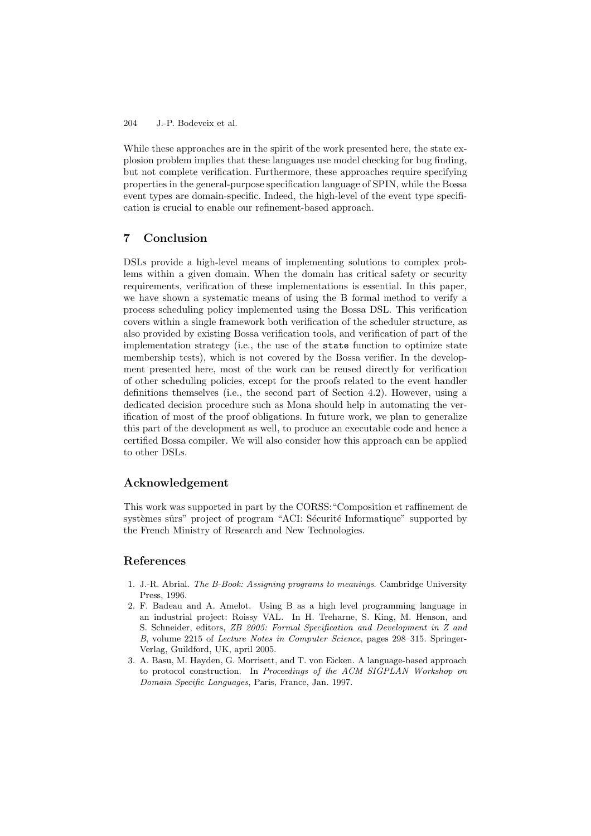While these approaches are in the spirit of the work presented here, the state explosion problem implies that these languages use model checking for bug finding, but not complete verification. Furthermore, these approaches require specifying properties in the general-purpose specification language of SPIN, while the Bossa event types are domain-specific. Indeed, the high-level of the event type specification is crucial to enable our refinement-based approach.

## **7 Conclusion**

DSLs provide a high-level means of implementing solutions to complex problems within a given domain. When the domain has critical safety or security requirements, verification of these implementations is essential. In this paper, we have shown a systematic means of using the B formal method to verify a process scheduling policy implemented using the Bossa DSL. This verification covers within a single framework both verification of the scheduler structure, as also provided by existing Bossa verification tools, and verification of part of the implementation strategy (i.e., the use of the state function to optimize state membership tests), which is not covered by the Bossa verifier. In the development presented here, most of the work can be reused directly for verification of other scheduling policies, except for the proofs related to the event handler definitions themselves (i.e., the second part of Section 4.2). However, using a dedicated decision procedure such as Mona should help in automating the verification of most of the proof obligations. In future work, we plan to generalize this part of the development as well, to produce an executable code and hence a certified Bossa compiler. We will also consider how this approach can be applied to other DSLs.

## **Acknowledgement**

This work was supported in part by the CORSS:"Composition et raffinement de systèmes sûrs" project of program "ACI: Sécurité Informatique" supported by the French Ministry of Research and New Technologies.

## <span id="page-17-0"></span>**References**

- 1. J.-R. Abrial. The B-Book: Assigning programs to meanings. Cambridge University Press, 1996.
- <span id="page-17-1"></span>2. F. Badeau and A. Amelot. Using B as a high level programming language in an industrial project: Roissy VAL. In H. Treharne, S. King, M. Henson, and S. Schneider, editors, ZB 2005: Formal Specification and Development in Z and B, volume 2215 of Lecture Notes in Computer Science, pages 298–315. Springer-Verlag, Guildford, UK, april 2005.
- <span id="page-17-2"></span>3. A. Basu, M. Hayden, G. Morrisett, and T. von Eicken. A language-based approach to protocol construction. In Proceedings of the ACM SIGPLAN Workshop on Domain Specific Languages, Paris, France, Jan. 1997.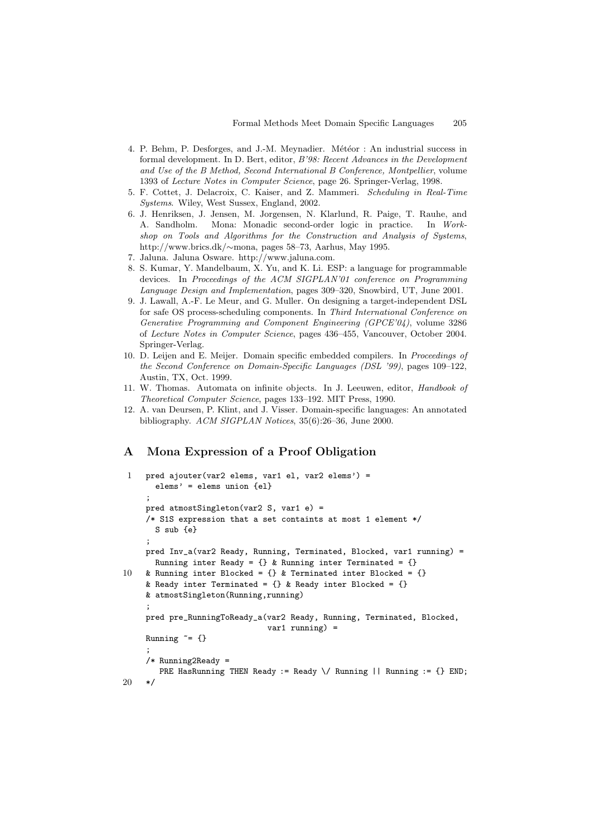- <span id="page-18-2"></span>4. P. Behm, P. Desforges, and J.-M. Meynadier. Météor : An industrial success in formal development. In D. Bert, editor, B'98: Recent Advances in the Development and Use of the B Method, Second International B Conference, Montpellier, volume 1393 of Lecture Notes in Computer Science, page 26. Springer-Verlag, 1998.
- <span id="page-18-3"></span>5. F. Cottet, J. Delacroix, C. Kaiser, and Z. Mammeri. Scheduling in Real-Time Systems. Wiley, West Sussex, England, 2002.
- <span id="page-18-6"></span>6. J. Henriksen, J. Jensen, M. Jorgensen, N. Klarlund, R. Paige, T. Rauhe, and A. Sandholm. Mona: Monadic second-order logic in practice. In Workshop on Tools and Algorithms for the Construction and Analysis of Systems, http://www.brics.dk/∼mona, pages 58–73, Aarhus, May 1995.
- <span id="page-18-9"></span><span id="page-18-4"></span>7. Jaluna. Jaluna Osware. http://www.jaluna.com.
- 8. S. Kumar, Y. Mandelbaum, X. Yu, and K. Li. ESP: a language for programmable devices. In Proceedings of the ACM SIGPLAN'01 conference on Programming Language Design and Implementation, pages 309–320, Snowbird, UT, June 2001.
- <span id="page-18-0"></span>9. J. Lawall, A.-F. Le Meur, and G. Muller. On designing a target-independent DSL for safe OS process-scheduling components. In Third International Conference on Generative Programming and Component Engineering (GPCE'04), volume 3286 of Lecture Notes in Computer Science, pages 436–455, Vancouver, October 2004. Springer-Verlag.
- <span id="page-18-8"></span>10. D. Leijen and E. Meijer. Domain specific embedded compilers. In Proceedings of the Second Conference on Domain-Specific Languages (DSL '99), pages 109–122, Austin, TX, Oct. 1999.
- <span id="page-18-5"></span>11. W. Thomas. Automata on infinite objects. In J. Leeuwen, editor, Handbook of Theoretical Computer Science, pages 133–192. MIT Press, 1990.
- <span id="page-18-7"></span>12. A. van Deursen, P. Klint, and J. Visser. Domain-specific languages: An annotated bibliography. ACM SIGPLAN Notices, 35(6):26–36, June 2000.

# <span id="page-18-1"></span>**A Mona Expression of a Proof Obligation**

```
1 pred ajouter(var2 elems, var1 el, var2 elems') =
       elems' = elems union {el}
     ;
     pred atmostSingleton(var2 S, var1 e) =
     /* S1S expression that a set containts at most 1 element */
       S sub {e}
     ;
     pred Inv_a(var2 Ready, Running, Terminated, Blocked, var1 running) =
       Running inter Ready = \{\} & Running inter Terminated = \{\}10 & Running inter Blocked = {} & Terminated inter Blocked = {}
     & Ready inter Terminated = \{\} & Ready inter Blocked = \{\}& atmostSingleton(Running,running)
     ;
     pred pre_RunningToReady_a(var2 Ready, Running, Terminated, Blocked,
                                var1 running) =
     Running z = \{\};
     /* Running2Ready =
        PRE HasRunning THEN Ready := Ready \setminus Running || Running := {} END;
20 \times l
```